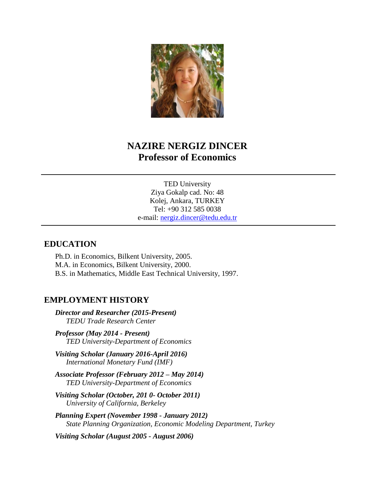

# **NAZIRE NERGIZ DINCER Professor of Economics**

TED University Ziya Gokalp cad. No: 48 Kolej, Ankara, TURKEY Tel: +90 312 585 0038 e-mail: [nergiz.dincer@tedu.edu.tr](mailto:nergiz.dincer@tedu.edu.tr)

#### **EDUCATION**

Ph.D. in Economics, Bilkent University, 2005. M.A. in Economics, Bilkent University, 2000. B.S. in Mathematics, Middle East Technical University, 1997.

#### **EMPLOYMENT HISTORY**

*Director and Researcher (2015-Present) TEDU Trade Research Center*

*Professor (May 2014 - Present) TED University-Department of Economics*

*Visiting Scholar (January 2016-April 2016) International Monetary Fund (IMF)*

- *Associate Professor (February 2012 – May 2014) TED University-Department of Economics*
- *Visiting Scholar (October, 201 0- October 2011) University of California, Berkeley*

*Planning Expert (November 1998 - January 2012) State Planning Organization, Economic Modeling Department, Turkey*

*Visiting Scholar (August 2005 - August 2006)*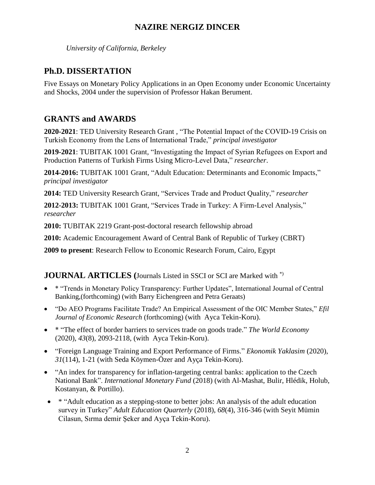*University of California, Berkeley*

### **Ph.D. DISSERTATION**

Five Essays on Monetary Policy Applications in an Open Economy under Economic Uncertainty and Shocks, 2004 under the supervision of Professor Hakan Berument.

# **GRANTS and AWARDS**

**2020-2021**: TED University Research Grant , "The Potential Impact of the COVID-19 Crisis on Turkish Economy from the Lens of International Trade," *principal investigator*

**2019-2021**: TUBITAK 1001 Grant*,* "Investigating the Impact of Syrian Refugees on Export and Production Patterns of Turkish Firms Using Micro-Level Data," *researcher*.

**2014-2016:** TUBITAK 1001 Grant*,* "Adult Education: Determinants and Economic Impacts," *principal investigator*

**2014:** TED University Research Grant, "Services Trade and Product Quality," *researcher*

**2012-2013:** TUBITAK 1001 Grant*,* "Services Trade in Turkey: A Firm-Level Analysis," *researcher*

**2010:** TUBITAK 2219 Grant-post-doctoral research fellowship abroad

**2010:** Academic Encouragement Award of Central Bank of Republic of Turkey (CBRT)

**2009 to present**: Research Fellow to Economic Research Forum, Cairo, Egypt

### **JOURNAL ARTICLES (**Journals Listed in SSCI or SCI are Marked with \*)

- \* "Trends in Monetary Policy Transparency: Further Updates", International Journal of Central Banking,(forthcoming) (with Barry Eichengreen and Petra Geraats)
- "Do AEO Programs Facilitate Trade? An Empirical Assessment of the OIC Member States," *Efil Journal of Economic Research* (forthcoming) (with Ayca Tekin-Koru).
- \* "The effect of border barriers to services trade on goods trade." *The World Economy* (2020), *43*(8), 2093-2118, (with Ayca Tekin-Koru).
- "Foreign Language Training and Export Performance of Firms." *Ekonomik Yaklasim* (2020), *31*(114), 1-21 (with Seda Köymen-Özer and Ayça Tekin-Koru).
- "An index for transparency for inflation-targeting central banks: application to the Czech National Bank". *International Monetary Fund* (2018) (with Al-Mashat, Bulir, Hlédik, Holub, Kostanyan, & Portillo).
- \* "Adult education as a stepping-stone to better jobs: An analysis of the adult education survey in Turkey" *Adult Education Quarterly* (2018), *68*(4), 316-346 (with Seyit Mümin Cilasun, Sırma demir Şeker and Ayça Tekin-Koru).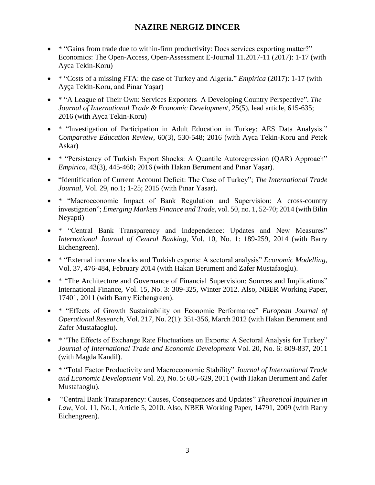- \* "Gains from trade due to within-firm productivity: Does services exporting matter?" Economics: The Open-Access, Open-Assessment E-Journal 11.2017-11 (2017): 1-17 (with Ayca Tekin-Koru)
- \* "Costs of a missing FTA: the case of Turkey and Algeria." *Empirica* (2017): 1-17 (with Ayça Tekin-Koru, and Pinar Yaşar)
- \* "A League of Their Own: Services Exporters–A Developing Country Perspective". *The Journal of International Trade & Economic Development*, 25(5), lead article, 615-635; 2016 (with Ayca Tekin-Koru)
- \* "Investigation of Participation in Adult Education in Turkey: AES Data Analysis." *Comparative Education Review*, 60(3), 530-548; 2016 (with Ayca Tekin-Koru and Petek Askar)
- \* "Persistency of Turkish Export Shocks: A Quantile Autoregression (QAR) Approach" *Empirica,* 43(3), 445-460; 2016 (with Hakan Berument and Pınar Yaşar).
- "Identification of Current Account Deficit: The Case of Turkey"; *The International Trade Journal,* Vol. 29, no.1; 1-25; 2015 (with Pınar Yasar).
- \* "Macroeconomic Impact of Bank Regulation and Supervision: A cross-country investigation"; *Emerging Markets Finance and Trade*, vol. 50, no. 1, 52-70; 2014 (with Bilin Neyapti)
- \* "Central Bank Transparency and Independence: Updates and New Measures" *International Journal of Central Banking*, Vol. 10, No. 1: 189-259, 2014 (with Barry Eichengreen).
- \* "External income shocks and Turkish exports: A sectoral analysis" *Economic Modelling*, Vol. 37, 476-484, February 2014 (with Hakan Berument and Zafer Mustafaoglu).
- \* "The Architecture and Governance of Financial Supervision: Sources and Implications" International Finance, Vol. 15, No. 3: 309-325, Winter 2012. Also, NBER Working Paper, 17401, 2011 (with Barry Eichengreen).
- \* "Effects of Growth Sustainability on Economic Performance" *European Journal of Operational Research*, [Vol. 217, No. 2\(](http://www.sciencedirect.com/science?_ob=PublicationURL&_hubEid=1-s2.0-S0377221711X00061&_cid=271700&_pubType=JL&view=c&_auth=y&_acct=C000228598&_version=1&_urlVersion=0&_userid=10&md5=6aafa56e00dc01c5fe51627be7e1bed4)1): 351-356, March 2012 (with Hakan Berument and Zafer Mustafaoglu).
- \* "The Effects of Exchange Rate Fluctuations on Exports: A Sectoral Analysis for Turkey" *Journal of International Trade and Economic Development* Vol. 20, No. 6: 809-837, 2011 (with Magda Kandil).
- \* "Total Factor Productivity and Macroeconomic Stability" *Journal of International Trade and Economic Development* Vol. 20, No. 5: 605-629, 2011 (with Hakan Berument and Zafer Mustafaoglu).
- "Central Bank Transparency: Causes, Consequences and Updates" *Theoretical Inquiries in Law*, Vol. 11, No.1, Article 5, 2010. Also, NBER Working Paper, 14791, 2009 (with Barry Eichengreen).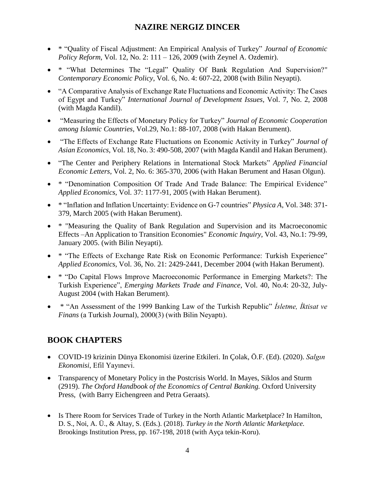- \* "Quality of Fiscal Adjustment: An Empirical Analysis of Turkey" *Journal of Economic Policy Reform*, Vol. 12, No. 2: 111 – 126, 2009 (with Zeynel A. Ozdemir).
- \* "What Determines The "Legal" Quality Of Bank Regulation And Supervision?" *Contemporary Economic Policy*, Vol. 6, No. 4: 607-22, 2008 (with Bilin Neyapti).
- "A Comparative Analysis of Exchange Rate Fluctuations and Economic Activity: The Cases of Egypt and Turkey" *International Journal of Development Issues*, Vol. 7, No. 2, 2008 (with Magda Kandil).
- "Measuring the Effects of Monetary Policy for Turkey" *Journal of Economic Cooperation among Islamic Countries*, Vol.29, No.1: 88-107, 2008 (with Hakan Berument).
- "The Effects of Exchange Rate Fluctuations on Economic Activity in Turkey" *Journal of Asian Economics*, Vol. 18, No. 3: 490-508, 2007 (with Magda Kandil and Hakan Berument).
- "The Center and Periphery Relations in International Stock Markets" *Applied Financial Economic Letters*, Vol. 2, No. 6: 365-370, 2006 (with Hakan Berument and Hasan Olgun).
- \* "Denomination Composition Of Trade And Trade Balance: The Empirical Evidence" *Applied Economics*, Vol. 37: 1177-91, 2005 (with Hakan Berument).
- \* "Inflation and Inflation Uncertainty: Evidence on G-7 countries" *Physica A*, Vol. 348: 371- 379, March 2005 (with Hakan Berument).
- \* "Measuring the Quality of Bank Regulation and Supervision and its Macroeconomic Effects –An Application to Transition Economies" *Economic Inquiry*, Vol. 43, No.1: 79-99, January 2005. (with Bilin Neyapti).
- \* "The Effects of Exchange Rate Risk on Economic Performance: Turkish Experience" *Applied Economics*, Vol. 36, No. 21: 2429-2441, December 2004 (with Hakan Berument).
- \* "Do Capital Flows Improve Macroeconomic Performance in Emerging Markets?: The Turkish Experience", *Emerging Markets Trade and Finance*, Vol. 40, No.4: 20-32, July-August 2004 (with Hakan Berument).
- \* "An Assessment of the 1999 Banking Law of the Turkish Republic" *İsletme, İktisat ve Finans* (a Turkish Journal), 2000(3) (with Bilin Neyaptı).

# **BOOK CHAPTERS**

- COVID-19 krizinin Dünya Ekonomisi üzerine Etkileri. In Çolak, Ö.F. (Ed). (2020). *Salgın Ekonomisi*, Efil Yayınevi.
- Transparency of Monetary Policy in the Postcrisis World. In Mayes, Siklos and Sturm (2919). *The Oxford Handbook of the Economics of Central Banking.* Oxford University Press, (with Barry Eichengreen and Petra Geraats).
- Is There Room for Services Trade of Turkey in the North Atlantic Marketplace? In Hamilton, D. S., Noi, A. Ü., & Altay, S. (Eds.). (2018). *Turkey in the North Atlantic Marketplace.* Brookings Institution Press, pp. 167-198, 2018 (with Ayça tekin-Koru).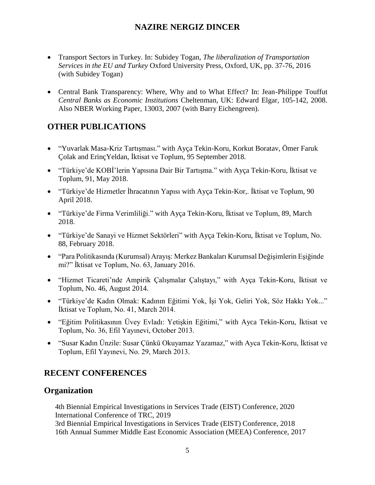- Transport Sectors in Turkey. In: Subidey Togan, *The liberalization of Transportation Services in the EU and Turkey* Oxford University Press, Oxford, UK, pp. 37-76, 2016 (with Subidey Togan)
- Central Bank Transparency: Where, Why and to What Effect? In: Jean-Philippe Touffut *Central Banks as Economic Institutions* Cheltenman, UK: Edward Elgar, 105-142, 2008. Also NBER Working Paper, 13003, 2007 (with Barry Eichengreen).

### **OTHER PUBLICATIONS**

- "Yuvarlak Masa-Kriz Tartışması." with Ayça Tekin-Koru, Korkut Boratav, Ömer Faruk Çolak and ErinçYeldan, İktisat ve Toplum, 95 September 2018.
- "Türkiye'de KOBİ'lerin Yapısına Dair Bir Tartışma." with Ayça Tekin-Koru, İktisat ve Toplum, 91, May 2018.
- "Türkiye'de Hizmetler İhracatının Yapısı with Ayça Tekin-Kor,. İktisat ve Toplum, 90 April 2018.
- "Türkiye'de Firma Verimliliği." with Ayça Tekin-Koru, İktisat ve Toplum, 89, March 2018.
- "Türkiye'de Sanayi ve Hizmet Sektörleri" with Ayça Tekin-Koru, İktisat ve Toplum, No. 88, February 2018.
- "Para Politikasında (Kurumsal) Arayış: Merkez Bankaları Kurumsal Değişimlerin Eşiğinde mi?" İktisat ve Toplum, No. 63, January 2016.
- "Hizmet Ticareti'nde Ampirik Çalışmalar Çalıştayı," with Ayça Tekin-Koru, İktisat ve Toplum, No. 46, August 2014.
- "Türkiye'de Kadın Olmak: Kadının Eğitimi Yok, İşi Yok, Geliri Yok, Söz Hakkı Yok..." İktisat ve Toplum, No. 41, March 2014.
- "Eğitim Politikasının Üvey Evladı: Yetişkin Eğitimi," with Ayca Tekin-Koru, İktisat ve Toplum, No. 36, Efil Yayınevi, October 2013.
- "Susar Kadın Ünzile: Susar Çünkü Okuyamaz Yazamaz," with Ayca Tekin-Koru, İktisat ve Toplum, Efil Yayınevi, No. 29, March 2013.

## **RECENT CONFERENCES**

### **Organization**

4th Biennial Empirical Investigations in Services Trade (EIST) Conference, 2020 International Conference of TRC, 2019 3rd Biennial Empirical Investigations in Services Trade (EIST) Conference, 2018 16th Annual Summer Middle East Economic Association (MEEA) Conference, 2017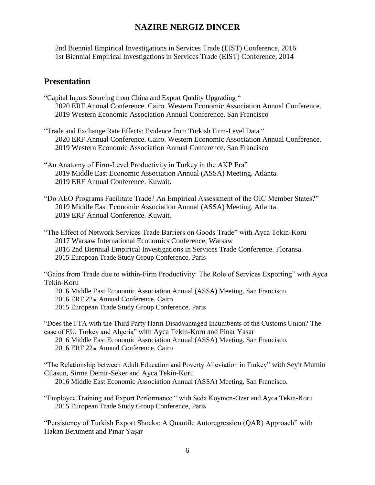2nd Biennial Empirical Investigations in Services Trade (EIST) Conference, 2016 1st Biennial Empirical Investigations in Services Trade (EIST) Conference, 2014

#### **Presentation**

- "Capital Inputs Sourcing from China and Export Quality Upgrading " 2020 ERF Annual Conference. Cairo. Western Economic Association Annual Conference. 2019 Western Economic Association Annual Conference. San Francisco
- "Trade and Exchange Rate Effects: Evidence from Turkish Firm-Level Data " 2020 ERF Annual Conference. Cairo. Western Economic Association Annual Conference. 2019 Western Economic Association Annual Conference. San Francisco
- "An Anatomy of Firm-Level Productivity in Turkey in the AKP Era" 2019 Middle East Economic Association Annual (ASSA) Meeting. Atlanta. 2019 ERF Annual Conference. Kuwait.
- "Do AEO Programs Facilitate Trade? An Empirical Assessment of the OIC Member States?" 2019 Middle East Economic Association Annual (ASSA) Meeting. Atlanta. 2019 ERF Annual Conference. Kuwait.

"The Effect of Network Services Trade Barriers on Goods Trade" with Ayca Tekin-Koru 2017 Warsaw International Economics Conference, Warsaw

2016 2nd Biennial Empirical Investigations in Services Trade Conference. Floransa.

2015 European Trade Study Group Conference, Paris

"Gains from Trade due to within-Firm Productivity: The Role of Services Exporting" with Ayca Tekin-Koru

2016 Middle East Economic Association Annual (ASSA) Meeting. San Francisco.

2016 ERF 22nd Annual Conference. Cairo

2015 European Trade Study Group Conference, Paris

"Does the FTA with the Third Party Harm Disadvantaged Incumbents of the Customs Union? The case of EU, Turkey and Algeria" with Ayca Tekin-Koru and Pinar Yasar

2016 Middle East Economic Association Annual (ASSA) Meeting. San Francisco. 2016 ERF 22nd Annual Conference. Cairo

"The Relationship between Adult Education and Poverty Alleviation in Turkey" with Seyit Mumin Cilasun, Sirma Demir-Seker and Ayca Tekin-Koru

2016 Middle East Economic Association Annual (ASSA) Meeting. San Francisco.

"Employee Training and Export Performance " with Seda Koymen-Ozer and Ayca Tekin-Koru 2015 European Trade Study Group Conference, Paris

"Persistency of Turkish Export Shocks: A Quantile Autoregression (QAR) Approach" with Hakan Berument and Pınar Yaşar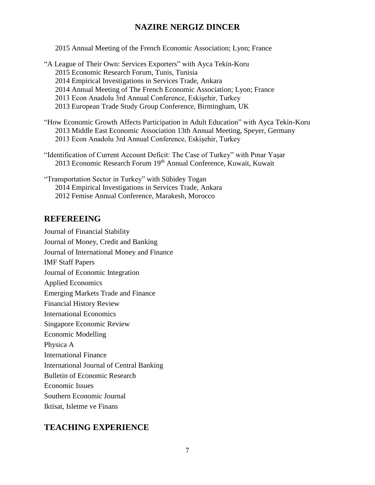2015 Annual Meeting of the French Economic Association; Lyon; France

- "A League of Their Own: Services Exporters" with Ayca Tekin-Koru 2015 Economic Research Forum, Tunis, Tunisia 2014 Empirical Investigations in Services Trade, Ankara 2014 Annual Meeting of The French Economic Association; Lyon; France 2013 Econ Anadolu 3rd Annual Conference, Eskişehir, Turkey 2013 European Trade Study Group Conference, Birmingham, UK "How Economic Growth Affects Participation in Adult Education" with Ayca Tekin-Koru
- 2013 Middle East Economic Association 13th Annual Meeting, Speyer, Germany 2013 Econ Anadolu 3rd Annual Conference, Eskişehir, Turkey
- "Identification of Current Account Deficit: The Case of Turkey" with Pınar Yaşar 2013 Economic Research Forum 19<sup>th</sup> Annual Conference, Kuwait, Kuwait

"Transportation Sector in Turkey" with Sübidey Togan 2014 Empirical Investigations in Services Trade, Ankara 2012 Femise Annual Conference, Marakesh, Morocco

#### **REFEREEING**

Journal of Financial Stability Journal of Money, Credit and Banking Journal of International Money and Finance IMF Staff Papers Journal of Economic Integration Applied Economics Emerging Markets Trade and Finance Financial History Review International Economics Singapore Economic Review Economic Modelling Physica A International Finance International Journal of Central Banking Bulletin of Economic Research Economic Issues Southern Economic Journal Iktisat, Isletme ve Finans

## **TEACHING EXPERIENCE**